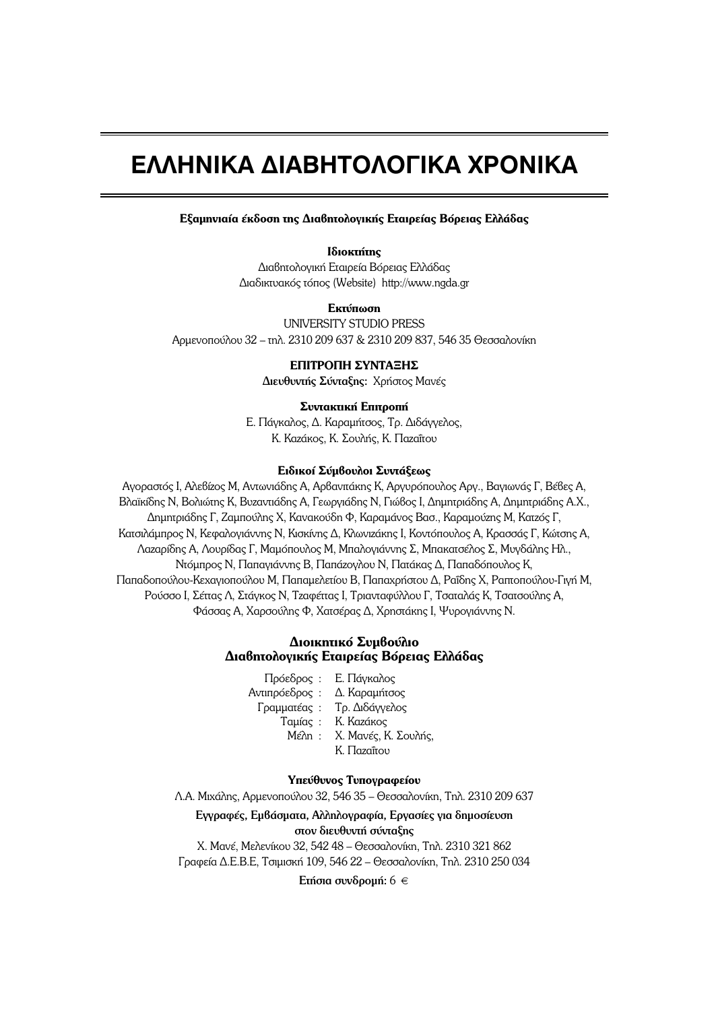# **EAAHNIKA AIABHTOAOFIKA XPONIKA**

**Εξαμηνιαία έκδοση της Διαβητολογικής Εταιρείας Βόρειας Ελλάδας** 

**Ιδιοκτήτης** Διαβητολογική Εταιρεία Βόρειας Ελλάδας  $Δ$ ιαδικτυακός τόπος (Website) http://www.ngda.gr

## **Eκτύπωση**

UNIVERSITY STUDIO PRESS Aρμενοπούλου 32 – τηλ. 2310 209 637 & 2310 209 837, 546 35 Θεσσαλονίκη

# **ΕΠΙΤΡΟΠΗ ΣΥΝΤΑΞΗΣ**

Διευθυντής Σύνταξης: Χρήστος Μανές

### Συντακτική Επιτροπή

Ε. Πάγκαλος, Δ. Καραμήτσος, Τρ. Διδάγγελος, K. Καzάκος, Κ. Σουλής, Κ. Παzαΐτου

### **Ειδικοί Σύμβουλοι Συντάξεως**

Aγοραστός I, Aλεβίzος M, Aντωνιάδης A, Aρβανιτάκης K, Aργυρόπουλος Aργ., Βαγιωνάς Γ, Βέβες A, Bλαϊκίδης N, Boλιώτης K, Bυzαντιάδης A, Γεωργιάδης N, Γιώβος I, Δημητριάδης A, Δημητριάδης A.X., Δημητριάδης Γ, Ζαμπούλης Χ, Κανακούδη Φ, Καραμάνος Βασ., Καραμούzης Μ, Κατzός Γ, Kατσιλάμπρος N, Kεφαλογιάννης N, Kισκίνης Δ, Kλωνιzάκης I, Kοντόπουλος A, Kρασσάς Γ, Kώτσης A,  $\Lambda$ αzαρίδης Α, Λουρίδας Γ, Μαμόπουλος Μ, Μπαλογιάννης Σ, Μπακατσέλος Σ, Μυγδάλης Ηλ., Ντόμπρος Ν, Παπαγιάννης Β, Παπάzογλου Ν, Πατάκας Δ, Παπαδόπουλος Κ, Παπαδοπούλου-Κεχαγιοπούλου Μ, Παπαμελετίου Β, Παπαχρήστου Δ, Ραΐδης Χ, Ραπτοπούλου-Γιγή Μ, Pούσσο I, Σέπας Λ, Στάγκος Ν, Τzαφέπας I, Τριανταφύλλου Γ, Τσαταλάς Κ, Τσατσούλης Α, Φάσσας Α, Χαρσούλης Φ, Χατσέρας Δ, Χρηστάκης Ι, Ψυρογιάννης Ν.

# **Διοικητικό Συμβούλιο Διαβητολογικής Εταιρείας Βόρειας Ελλάδας**

- Πρόεδρος : Ε. Πάγκαλος Aντιπρόεδρος : Δ. Καραμήτσος Γραμματέας : Τρ. Διδάγγελος Taµías: K. Kazákos Mέλη: Χ. Μανές, Κ. Σουλής,
	- K. Παzαΐτου

# Υπεύθυνος Τυπογραφείου

 $\Lambda$ . Μιχάλης, Αρμενοπούλου 32, 546 35 – Θεσσαλονίκη, Τηλ. 2310 209 637

Eγγραφές, Eμβάσματα, Aλληλογραφία, Eργασίες για δημοσίευση στον διευθυντή σύνταξης

<u>Χ. Μανέ, Μελενίκου 32, 542 48 – Θεσσαλονίκη, Τηλ. 2310 321 862</u> Γραφεία Δ.Ε.Β.Ε, Τσιμισκή 109, 546 22 – Θεσσαλονίκη, Τηλ. 2310 250 034

Eτήσια συνδρομή: 6  $\in$